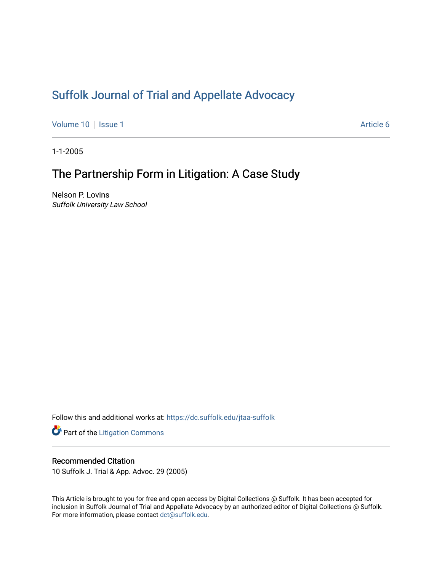# [Suffolk Journal of Trial and Appellate Advocacy](https://dc.suffolk.edu/jtaa-suffolk)

[Volume 10](https://dc.suffolk.edu/jtaa-suffolk/vol10) | [Issue 1](https://dc.suffolk.edu/jtaa-suffolk/vol10/iss1) Article 6

1-1-2005

# The Partnership Form in Litigation: A Case Study

Nelson P. Lovins Suffolk University Law School

Follow this and additional works at: [https://dc.suffolk.edu/jtaa-suffolk](https://dc.suffolk.edu/jtaa-suffolk?utm_source=dc.suffolk.edu%2Fjtaa-suffolk%2Fvol10%2Fiss1%2F6&utm_medium=PDF&utm_campaign=PDFCoverPages) 

**Part of the [Litigation Commons](https://network.bepress.com/hgg/discipline/910?utm_source=dc.suffolk.edu%2Fjtaa-suffolk%2Fvol10%2Fiss1%2F6&utm_medium=PDF&utm_campaign=PDFCoverPages)** 

# Recommended Citation

10 Suffolk J. Trial & App. Advoc. 29 (2005)

This Article is brought to you for free and open access by Digital Collections @ Suffolk. It has been accepted for inclusion in Suffolk Journal of Trial and Appellate Advocacy by an authorized editor of Digital Collections @ Suffolk. For more information, please contact [dct@suffolk.edu](mailto:dct@suffolk.edu).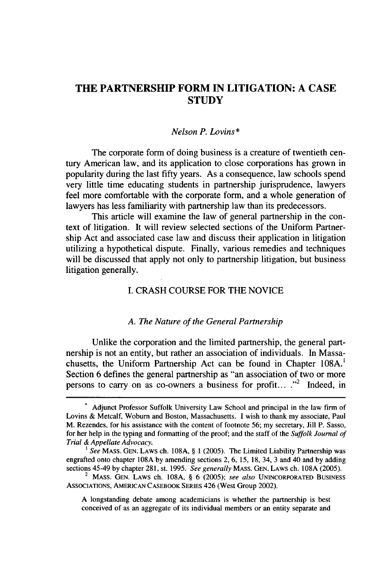# **THE PARTNERSHIP FORM IN LITIGATION: A CASE STUDY**

#### *Nelson P. Lovins\**

The corporate form of doing business is a creature of twentieth century American law, and its application to close corporations has grown in popularity during the last **fifty** years. As a consequence, law schools spend very little time educating students in partnership jurisprudence, lawyers feel more comfortable with the corporate form, and a whole generation of lawyers has less familiarity with partnership law than its predecessors.

This article will examine the law of general partnership in the context of litigation. It will review selected sections of the Uniform Partnership Act and associated case law and discuss their application in litigation utilizing a hypothetical dispute. Finally, various remedies and techniques will be discussed that apply not only to partnership litigation, but business litigation generally.

# I. CRASH COURSE FOR THE NOVICE

## *A. The Nature of the General Partnership*

Unlike the corporation and the limited partnership, the general partnership is not an entity, but rather an association of individuals. In Massachusetts, the Uniform Partnership Act can be found in Chapter 108A.' Section 6 defines the general partnership as "an association of two or more persons to carry on as co-owners a business for profit...  $\cdot$ <sup>2</sup> Indeed, in

A longstanding debate among academicians is whether the partnership is best conceived of as an aggregate of its individual members or an entity separate and

**<sup>.</sup>** Adjunct Professor Suffolk University Law School and principal in the law firm of Lovins & Metcalf, Woburn and Boston, Massachusetts. I wish to thank my associate, Paul M. Rezendes, for his assistance with the content of footnote 56; my secretary, Jill P. Sasso, for her help in the typing and formatting of the proof; and the staff of the *Suffolk Journal of Trial & Appellate Advocacy.*

<sup>&</sup>lt;sup>1</sup> See MASS. GEN. LAWS ch. 108A, § 1 (2005). The Limited Liability Partnership was engrafted onto chapter 108A by amending sections 2, 6, 15, 18, 34, 3 and 40 and by adding sections 45-49 by chapter 281, st. 1995. *See generally* **MASS. GEN.** LAWS ch. 108A (2005).

<sup>2</sup> MASS. **GEN.** LAWS ch. 108A, § 6 (2005); *see also* **UNINCORPORATED BUSINESS** ASSOCIATIONS, **AMERICAN CASEBOOK** SERIES 426 (West Group 2002).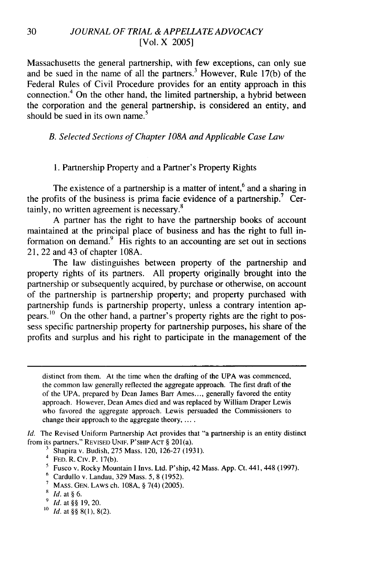Massachusetts the general partnership, with few exceptions, can only sue and be sued in the name of all the partners.<sup>3</sup> However, Rule 17(b) of the Federal Rules of Civil Procedure provides for an entity approach in this connection.4 On the other hand, the limited partnership, a hybrid between the corporation and the general partnership, is considered an entity, and **5** should be sued in its own name.

### *B. Selected Sections of Chapter 108A and Applicable Case Law*

#### 1. Partnership Property and a Partner's Property Rights

The existence of a partnership is a matter of intent,<sup>6</sup> and a sharing in the profits of the business is prima facie evidence of a partnership.<sup>7</sup> Cer-**8** tainly, no written agreement is necessary.

A partner has the right to have the partnership books of account maintained at the principal place of business and has the right to full information on demand. $9\overline{H}$  His rights to an accounting are set out in sections 21, 22 and 43 of chapter 108A.

The law distinguishes between property of the partnership and property rights of its partners. All property originally brought into the partnership or subsequently acquired, by purchase or otherwise, on account of the partnership is partnership property; and property purchased with partnership funds is partnership property, unless a contrary intention ap- $\rm{pears.}$ <sup>10</sup> On the other hand, a partner's property rights are the right to possess specific partnership property for partnership purposes, his share of the profits and surplus and his right to participate in the management of the

distinct from them. At the time when the drafting of the UPA was commenced, the common law generally reflected the aggregate approach. The first draft of the of the UPA, prepared by Dean James Barr Ames.... generally favored the entity approach. However, Dean Ames died and was replaced by William Draper Lewis who favored the aggregate approach. Lewis persuaded the Commissioners to change their approach to the aggregate theory,  $\dots$ .

*Id.* The Revised Uniform Partnership Act provides that "a partnership is an entity distinct from its partners." REVISED UNIF. P'SHIP ACT § 201(a).

- **3** Shapira v. Budish, 275 Mass. 120, 126-27 (1931).
- $4$  FED. R. Civ. P. 17(b).
- <sup>5</sup> Fusco v. Rocky Mountain I Invs. Ltd. P'ship, 42 Mass. App. Ct. 441, 448 (1997).
- **6** Cardullo v. Landau, 329 Mass. 5, 8 (1952).
- **<sup>1</sup>**MASS. **GEN.** LAWS ch. 108A, § 7(4) (2005).
- s *id.* at **§** 6.
- *9 Id.* at *§§* 19, 20.
- **0** *Id.* at *§§* 8(1), 8(2).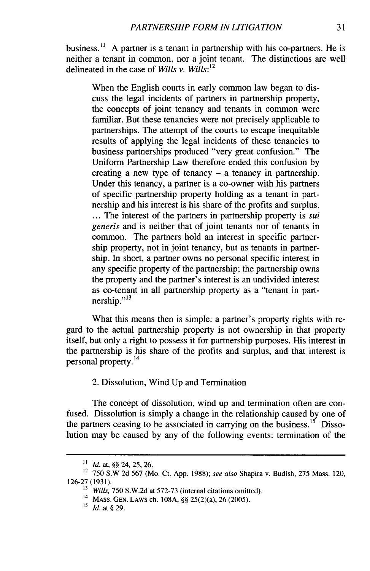business.'1 **A** partner is a tenant in partnership with his co-partners. He is neither a tenant in common, nor a joint tenant. The distinctions are well delineated in the case of *Wills v. Wills:<sup>12</sup>*

When the English courts in early common law began to discuss the legal incidents of partners in partnership property, the concepts of joint tenancy and tenants in common were familiar. But these tenancies were not precisely applicable to partnerships. The attempt of the courts to escape inequitable results of applying the legal incidents of these tenancies to business partnerships produced "very great confusion." The Uniform Partnership Law therefore ended this confusion by creating a new type of tenancy  $-$  a tenancy in partnership. Under this tenancy, a partner is a co-owner with his partners of specific partnership property holding as a tenant in partnership and his interest is his share of the profits and surplus. **...** The interest of the partners in partnership property is *sui generis* and is neither that of joint tenants nor of tenants in common. The partners hold an interest in specific partnership property, not in joint tenancy, but as tenants in partnership. In short, a partner owns no personal specific interest in any specific property of the partnership; the partnership owns the property and the partner's interest is an undivided interest as co-tenant in all partnership property as a "tenant in part- $\frac{13}{2}$  nership."<sup>13</sup>

What this means then is simple: a partner's property rights with regard to the actual partnership property is not ownership in that property itself, but only a right to possess it for partnership purposes. His interest in the partnership is his share of the profits and surplus, and that interest is personal property. <sup>14</sup>

## 2. Dissolution, Wind Up and Termination

The concept of dissolution, wind up and termination often are confused. Dissolution is simply a change in the relationship caused by one of the partners ceasing to be associated in carrying on the business.<sup>15</sup> Dissolution may be caused by any of the following events: termination of the

**<sup>&</sup>quot;** *id.* at, §§ 24, 25, 26.

<sup>12 750</sup> S.W 2d 567 (Mo. Ct. App. 1988); see also Shapira v. Budish, 275 Mass. 120, 126-27 (1931).

<sup>&</sup>lt;sup>13</sup> *Wills, 750 S.W.2d at 572-73 (internal citations omitted).* 

<sup>14</sup>**MASS.** GEN. LAWS ch. 108A, §§ 25(2)(a), 26 (2005).

**<sup>15</sup>** *Id.* at § 29.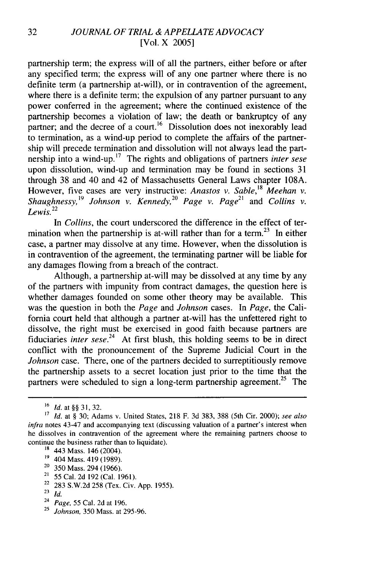partnership term; the express will of all the partners, either before or after any specified term; the express will of any one partner where there is no definite term (a partnership at-will), or in contravention of the agreement, where there is a definite term; the expulsion of any partner pursuant to any power conferred in the agreement; where the continued existence of the partnership becomes a violation of law; the death or bankruptcy of any partner; and the decree of a court.<sup>16</sup> Dissolution does not inexorably lead to termination, as a wind-up period to complete the affairs of the partnership will precede termination and dissolution will not always lead the partnership into a wind-up.<sup>17</sup> The rights and obligations of partners *inter sese* upon dissolution, wind-up and termination may be found in sections 31 through 38 and 40 and 42 of Massachusetts General Laws chapter 108A. However, five cases are very instructive: *Anastos v. Sable,<sup>1</sup>8 Meehan v. Shaughnessy,19 Johnson v. Kennedy,<sup>20</sup>Page v. Page2 1* and *Collins v. Lewis. 2 2*

In *Collins,* the court underscored the difference in the effect of termination when the partnership is at-will rather than for a term.<sup>23</sup> In either case, a partner may dissolve at any time. However, when the dissolution is in contravention of the agreement, the terminating partner will be liable for any damages flowing from a breach of the contract.

Although, a partnership at-will may be dissolved at any time by any of the partners with impunity from contract damages, the question here is whether damages founded on some other theory may be available. This was the question in both the *Page* and *Johnson* cases. In *Page,* the California court held that although a partner at-will has the unfettered right to dissolve, the right must be exercised in good faith because partners are fiduciaries *inter sese*.<sup>24</sup> At first blush, this holding seems to be in direct conflict with the pronouncement of the Supreme Judicial Court in the *Johnson* case. There, one of the partners decided to surreptitiously remove the partnership assets to a secret location just prior to the time that the partners were scheduled to sign a long-term partnership agreement.<sup>25</sup> The

- **18** 443 Mass. 146 (2004).
- **19** 404 Mass. 419 (1989).
- $20$  350 Mass. 294 (1966).
- 21 **55** Cal. 2d 192 (Cal. 1961).
- 22 283 S.W.2d 258 (Tex. Civ. App. 1955).
- **23** *Id.*
- 24 *Page,* 55 Cal. 2d at 196.
- **25** *Johnson,* 350 Mass. at 295-96.

*<sup>16</sup> Id.* at **§§ 31, 32.**

*<sup>17</sup>Id.* at § 30; Adams v. United States, 218 F. 3d 383, 388 (5th Cir. 2000); *see also infra* notes 43-47 and accompanying text (discussing valuation of a partner's interest when he dissolves in contravention of the agreement where the remaining partners choose to continue the business rather than to liquidate).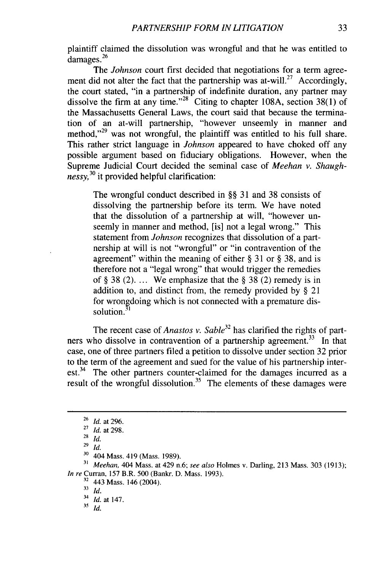plaintiff claimed the dissolution was wrongful and that he was entitled to **<sup>26</sup>** damages.

The *Johnson* court first decided that negotiations for a term agreement did not alter the fact that the partnership was at-will.<sup>27</sup> Accordingly, the court stated, "in a partnership of indefinite duration, any partner may dissolve the firm at any time."<sup>28</sup> Citing to chapter 108A, section 38(1) of the Massachusetts General Laws, the court said that because the termination of an at-will partnership, "however unseemly in manner and method,"<sup>29</sup> was not wrongful, the plaintiff was entitled to his full share. This rather strict language in *Johnson* appeared to have choked off any possible argument based on fiduciary obligations. However, when the Supreme Judicial Court decided the seminal case of *Meehan v. Shaughnessy,<sup>3</sup>°* it provided helpful clarification:

The wrongful conduct described in §§ 31 and 38 consists of dissolving the partnership before its term. We have noted that the dissolution of a partnership at will, "however unseemly in manner and method, [is] not a legal wrong." This statement from *Johnson* recognizes that dissolution of a partnership at will is not "wrongful" or "in contravention of the agreement" within the meaning of either § 31 or § 38, and is therefore not a "legal wrong" that would trigger the remedies of § 38 (2). ... We emphasize that the § 38 (2) remedy is in addition to, and distinct from, the remedy provided by § 21 for wrongdoing which is not connected with a premature dissolution.<sup>3</sup>

The recent case of *Anastos v. Sable32* has clarified the rights of partners who dissolve in contravention of a partnership agreement.<sup>33</sup> In that case, one of three partners filed a petition to dissolve under section 32 prior to the term of the agreement and sued for the value of his partnership interest.<sup>34</sup> The other partners counter-claimed for the damages incurred as a result of the wrongful dissolution.<sup>35</sup> The elements of these damages were

**<sup>31</sup>***Meehan,* 404 Mass. at 429 n.6; *see also* Holmes v. Darling, 213 Mass. 303 (1913); *In re* Curran, 157 B.R. 500 (Bankr. D. Mass. 1993).

 $33$  *Id.* 

*35* **id.**

<sup>26</sup>*Id.* at 296.

<sup>27</sup>*Id.* at 298.

<sup>28</sup>*Id.*

<sup>29</sup>*id.*

<sup>&</sup>lt;sup>30</sup> 404 Mass. 419 (Mass. 1989).

<sup>&</sup>lt;sup>32</sup> 443 Mass. 146 (2004).

<sup>34</sup> *Id.* at 147.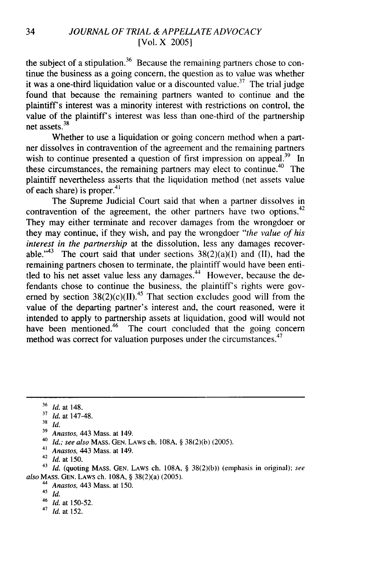the subject of a stipulation.<sup>36</sup> Because the remaining partners chose to continue the business as a going concern, the question as to value was whether it was a one-third liquidation value or a discounted value.<sup>37</sup> The trial judge found that because the remaining partners wanted to continue and the plaintiff's interest was a minority interest with restrictions on control, the value of the plaintiff's interest was less than one-third of the partnership  $net$  assets.<sup>38</sup>

Whether to use a liquidation or going concern method when a partner dissolves in contravention of the agreement and the remaining partners wish to continue presented a question of first impression on appeal.<sup>39</sup> In these circumstances, the remaining partners may elect to continue.40 The plaintiff nevertheless asserts that the liquidation method (net assets value of each share) is proper.<sup>41</sup>

The Supreme Judicial Court said that when a partner dissolves in contravention of the agreement, the other partners have two options.<sup>42</sup> They may either terminate and recover damages from the wrongdoer or they may continue, if they wish, and pay the wrongdoer *"the value of his interest in the partnership* at the dissolution, less any damages recoverable."<sup>43</sup> The court said that under sections  $38(2)(a)(I)$  and (II), had the remaining partners chosen to terminate, the plaintiff would have been entitled to his net asset value less any damages.<sup> $44$ </sup> However, because the defendants chose to continue the business, the plaintiff's rights were governed by section  $38(2)(c)(II)$ .<sup>45</sup> That section excludes good will from the value of the departing partner's interest and, the court reasoned, were it intended to apply to partnership assets at liquidation, good will would not have been mentioned.<sup>46</sup> The court concluded that the going concern method was correct for valuation purposes under the circumstances.<sup>47</sup>

**41** *Anastos,* 443 Mass. at 149.

**<sup>43</sup>***Id.* (quoting **MASS.** GEN. LAWS ch. **108A,** § 38(2)(b)) (emphasis in original); *see also* **MASS. GEN.** LAWS ch. 108A, § 38(2)(a) (2005).

44 *Anastos,* 443 Mass. at 150.

<sup>46</sup>*Id.* at 150-52.

41 *Id.* at 152.

<sup>36</sup>*Id.* at 148.

**<sup>17</sup>** *Id.* at 147-48.

<sup>38</sup> *id.*

**<sup>39</sup>** *Anastos,* 443 Mass. at 149.

<sup>40</sup>*Id.; see also* **MASS. GEN.** LAWS ch. **108A,** § 38(2)(b) (2005).

<sup>42</sup>*Id.* at 150.

<sup>45</sup>*id.*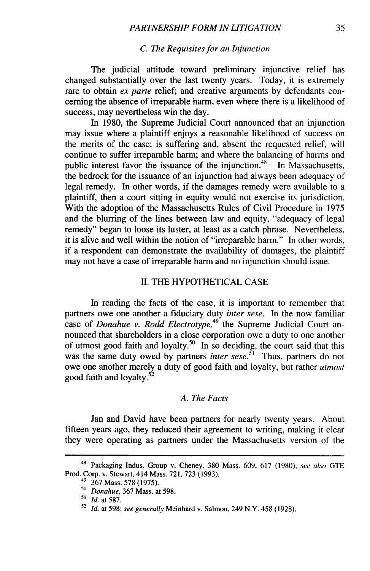#### *C. The Requisites for an Injunction*

The judicial attitude toward preliminary injunctive relief has changed substantially over the last twenty years. Today, it is extremely rare to obtain *ex parte* relief; and creative arguments by defendants concerning the absence of irreparable harm, even where there is a likelihood of success, may nevertheless win the day.

In 1980, the Supreme Judicial Court announced that an injunction may issue where a plaintiff enjoys a reasonable likelihood of success on the merits of the case; is suffering and, absent the requested relief, will continue to suffer irreparable harm; and where the balancing of harms and public interest favor the issuance of the injunction. $48$  In Massachusetts, the bedrock for the issuance of an injunction had always been adequacy of legal remedy. In other words, if the damages remedy were available to a plaintiff, then a court sitting in equity would not exercise its jurisdiction. With the adoption of the Massachusetts Rules of Civil Procedure in 1975 and the blurring of the lines between law and equity, "adequacy of legal remedy" began to loose its luster, at least as a catch phrase. Nevertheless, it is alive and well within the notion of "irreparable harm." In other words, if a respondent can demonstrate the availability of damages, the plaintiff may not have a case of irreparable harm and no injunction should issue.

### II. THE HYPOTHETICAL CASE

In reading the facts of the case, it is important to remember that partners owe one another a fiduciary duty *inter sese.* In the now familiar case of *Donahue v. Rodd Electrotype,49* the Supreme Judicial Court announced that shareholders in a close corporation owe a duty to one another of utmost good faith and loyalty.<sup>50</sup> In so deciding, the court said that this was the same duty owed by partners *inter sese*.<sup>51</sup> Thus, partners do not owe one another merely a duty of good faith and loyalty, but rather *utmost* good faith and loyalty.<sup>52</sup>

#### *A. The Facts*

Jan and David have been partners for nearly twenty years. About fifteen years ago, they reduced their agreement to writing, making it clear they were operating as partners under the Massachusetts version of the

<sup>&</sup>lt;sup>48</sup> Packaging Indus. Group v. Cheney, 380 Mass. 609, 617 (1980); see also GTE Prod. Corp. v. Stewart, 414 Mass. 721, 723 (1993).

 $49$  367 Mass. 578 (1975).

<sup>50</sup>*Donahue,* 367 Mass. at 598.

*<sup>&</sup>quot;' Id.* at 587.

<sup>52</sup> *Id.* at 598; *see generally* Meinhard v. Salmon, 249 N.Y. 458 (1928).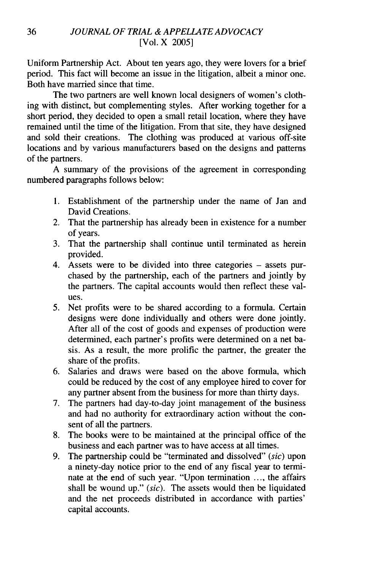Uniform Partnership Act. About ten years ago, they were lovers for a brief period. This fact will become an issue in the litigation, albeit a minor one. Both have married since that time.

The two partners are well known local designers of women's clothing with distinct, but complementing styles. After working together for a short period, they decided to open a small retail location, where they have remained until the time of the litigation. From that site, they have designed and sold their creations. The clothing was produced at various off-site locations and by various manufacturers based on the designs and patterns of the partners.

A summary of the provisions of the agreement in corresponding numbered paragraphs follows below:

- 1. Establishment of the partnership under the name of Jan and David Creations.
- 2. That the partnership has already been in existence for a number of years.
- 3. That the partnership shall continue until terminated as herein provided.
- 4. Assets were to be divided into three categories assets purchased by the partnership, each of the partners and jointly by the partners. The capital accounts would then reflect these values.
- *5.* Net profits were to be shared according to a formula. Certain designs were done individually and others were done jointly. After all of the cost of goods and expenses of production were determined, each partner's profits were determined on a net basis. As a result, the more prolific the partner, the greater the share of the profits.
- 6. Salaries and draws were based on the above formula, which could be reduced by the cost of any employee hired to cover for any partner absent from the business for more than thirty days.
- 7. The partners had day-to-day joint management of the business and had no authority for extraordinary action without the consent of all the partners.
- 8. The books were to be maintained at the principal office of the business and each partner was to have access at all times.
- 9. The partnership could be "terminated and dissolved" *(sic)* upon a ninety-day notice prior to the end of any fiscal year to terminate at the end of such year. "Upon termination ..., the affairs shall be wound up." *(sic).* The assets would then be liquidated and the net proceeds distributed in accordance with parties' capital accounts.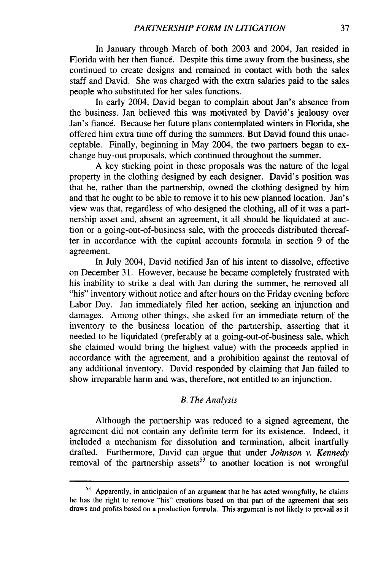In January through March of both 2003 and 2004, Jan resided in Florida with her then fiance. Despite this time away from the business, she continued to create designs and remained in contact with both the sales staff and David. She was charged with the extra salaries paid to the sales people who substituted for her sales functions.

In early 2004, David began to complain about Jan's absence from the business. Jan believed this was motivated by David's jealousy over Jan's fiancé. Because her future plans contemplated winters in Florida, she offered him extra time off during the summers. But David found this unacceptable. Finally, beginning in May 2004, the two partners began to exchange buy-out proposals, which continued throughout the summer.

A key sticking point in these proposals was the nature of the legal property in the clothing designed by each designer. David's position was that he, rather than the partnership, owned the clothing designed by him and that he ought to be able to remove it to his new planned location. Jan's view was that, regardless of who designed the clothing, all of it was a partnership asset and, absent an agreement, it all should be liquidated at auction or a going-out-of-business sale, with the proceeds distributed thereafter in accordance with the capital accounts formula in section 9 of the agreement.

In July 2004, David notified Jan of his intent to dissolve, effective on December 31. However, because he became completely frustrated with his inability to strike a deal with Jan during the summer, he removed all "his" inventory without notice and after hours on the Friday evening before Labor Day. Jan immediately filed her action, seeking an injunction and damages. Among other things, she asked for an immediate return of the inventory to the business location of the partnership, asserting that it needed to be liquidated (preferably at a going-out-of-business sale, which she claimed would bring the highest value) with the proceeds applied in accordance with the agreement, and a prohibition against the removal of any additional inventory. David responded by claiming that Jan failed to show irreparable harm and was, therefore, not entitled to an injunction.

#### *B. The Analysis*

Although the partnership was reduced to a signed agreement, the agreement did not contain any definite term for its existence. Indeed, it included a mechanism for dissolution and termination, albeit inartfully drafted. Furthermore, David can argue that under *Johnson v. Kennedy* removal of the partnership assets<sup>53</sup> to another location is not wrongful

**<sup>53</sup>**Apparently, in anticipation of an argument that he has acted wrongfully, he claims he has the right to remove "his" creations based on that part of the agreement that sets draws and profits based on a production formula. This argument is not likely to prevail as it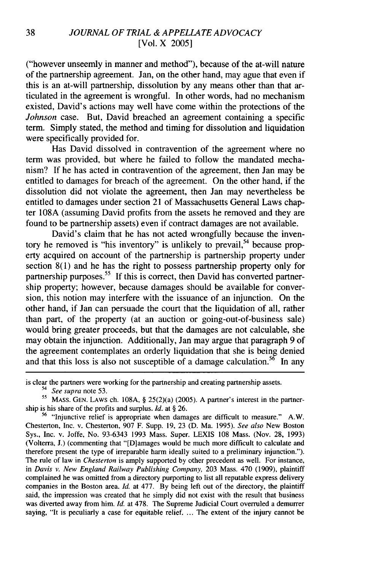("however unseemly in manner and method"), because of the at-will nature of the partnership agreement. Jan, on the other hand, may ague that even if this is an at-will partnership, dissolution by any means other than that articulated in the agreement is wrongful. In other words, had no mechanism existed, David's actions may well have come within the protections of the *Johnson* case. But, David breached an agreement containing a specific term. Simply stated, the method and timing for dissolution and liquidation were specifically provided for.

Has David dissolved in contravention of the agreement where no term was provided, but where he failed to follow the mandated mechanism? If he has acted in contravention of the agreement, then Jan may be entitled to damages for breach of the agreement. On the other hand, if the dissolution did not violate the agreement, then Jan may nevertheless be entitled to damages under section 21 of Massachusetts General Laws chapter 108A (assuming David profits from the assets he removed and they are found to be partnership assets) even if contract damages are not available.

David's claim that he has not acted wrongfully because the inventory he removed is "his inventory" is unlikely to prevail,<sup>54</sup> because property acquired on account of the partnership is partnership property under section 8(1) and he has the right to possess partnership property only for partnership purposes.<sup>55</sup> If this is correct, then David has converted partnership property; however, because damages should be available for conversion, this notion may interfere with the issuance of an injunction. On the other hand, if Jan can persuade the court that the liquidation of all, rather than part, of the property (at an auction or going-out-of-business sale) would bring greater proceeds, but that the damages are not calculable, she may obtain the injunction. Additionally, Jan may argue that paragraph 9 of the agreement contemplates an orderly liquidation that she is being denied and that this loss is also not susceptible of a damage calculation.<sup>56</sup> In any

54 *See supra* note 53.

is clear the partners were working for the partnership and creating partnership assets.

**<sup>55</sup>** MASS. **GEN.** LAWS ch. 108A, § 25(2)(a) (2005). A partner's interest in the partnership is his share of the profits and surplus. *Id.* at § 26.

<sup>&</sup>lt;sup>56</sup> "Injunctive relief is appropriate when damages are difficult to measure." A.W. Chesterton, Inc. v. Chesterton, 907 F. Supp. 19, 23 (D. Ma. 1995). *See also* New Boston Sys., Inc. v. Joffe, No. 93-6343 1993 Mass. Super. LEXIS 108 Mass. (Nov. 28, 1993) (Volterra, J.) (commenting that "[Diamages would be much more difficult to calculate and therefore present the type of irreparable harm ideally suited to a preliminary injunction."). The rule of law in *Chesterton* is amply supported by other precedent as well. For instance, in *Davis v. New England Railway Publishing Company,* 203 Mass. 470 (1909), plaintiff complained he was omitted from a directory purporting to list all reputable express delivery companies in the Boston area. *Id.* at 477. By being left out of the directory, the plaintiff said, the impression was created that he simply did not exist with the result that business was diverted away from him. *Id.* at 478. The Supreme Judicial Court overruled a demurrer saying, "It is peculiarly a case for equitable relief.... The extent of the injury cannot be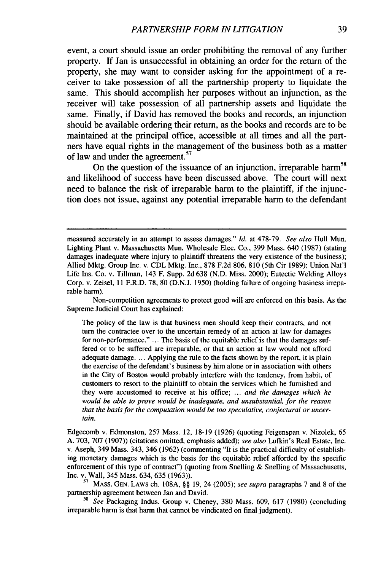event, a court should issue an order prohibiting the removal of any further property. If Jan is unsuccessful in obtaining an order for the return of the property, she may want to consider asking for the appointment of a receiver to take possession of all the partnership property to liquidate the same. This should accomplish her purposes without an injunction, as the receiver will take possession of all partnership assets and liquidate the same. Finally, if David has removed the books and records, an injunction should be available ordering their return, as the books and records are to be maintained at the principal office, accessible at all times and all the partners have equal rights in the management of the business both as a matter of law and under the agreement.<sup>57</sup>

On the question of the issuance of an injunction, irreparable harm<sup>58</sup> and likelihood of success have been discussed above. The court will next need to balance the risk of irreparable harm to the plaintiff, if the injunction does not issue, against any potential irreparable harm to the defendant

Non-competition agreements to protect good will are enforced on this basis. As the Supreme Judicial Court has explained:

The policy of the law is that business men should keep their contracts, and not turn the contractee over to the uncertain remedy of an action at law for damages for non-performance." ... The basis of the equitable relief is that the damages suffered or to be suffered are irreparable, or that an action at law would not afford adequate damage. ... Applying the rule to the facts shown by the report, it is plain the exercise of the defendant's business by him alone or in association with others in the City of Boston would probably interfere with the tendency, from habit, of customers to resort to the plaintiff to obtain the services which he furnished and they were accustomed to receive at his office; ... *and the damages which he would be able to prove would be inadequate, and unsubstantial, for the reason that the basis for the computation would be too speculative, conjectural or uncertain.*

Edgecomb v. Edmonston, 257 Mass. 12, 18-19 (1926) (quoting Feigenspan v. Nizolek, 65 A. 703, 707 (1907)) (citations omitted, emphasis added); *see also* Lufkin's Real Estate, Inc. v. Aseph, 349 Mass. 343, 346 (1962) (commenting "It is the practical difficulty of establishing monetary damages which is the basis for the equitable relief afforded by the specific enforcement of this type of contract") (quoting from Snelling  $\&$  Snelling of Massachusetts, Inc. v. Wall, 345 Mass. 634, 635 (1963)).

**<sup>57</sup>**MASS. GEN. LAWS ch. 108A, §§ 19, 24 (2005); *see supra* paragraphs 7 and 8 of the partnership agreement between Jan and David.

<sup>58</sup>*See* Packaging Indus. Group v. Cheney, 380 Mass. 609, 617 (1980) (concluding irreparable harm is that harm that cannot be vindicated on final judgment).

measured accurately in an attempt to assess damages." *Id.* at 478-79. *See also* Hull Mun. Lighting Plant v. Massachusetts Mun. Wholesale Elec. Co., 399 Mass. 640 (1987) (stating damages inadequate where injury to plaintiff threatens the very existence of the business); Allied Mktg. Group Inc. v. CDL Mktg. Inc., 878 F.2d 806, 810 (5th Cir 1989); Union Nat'l Life Ins. Co. v. Tillman, 143 F. Supp. 2d 638 (N.D. Miss. 2000); Eutectic Welding Alloys Corp. v. Zeisel, 11 F.R.D. 78, 80 (D.N.J. 1950) (holding failure of ongoing business irreparable harm).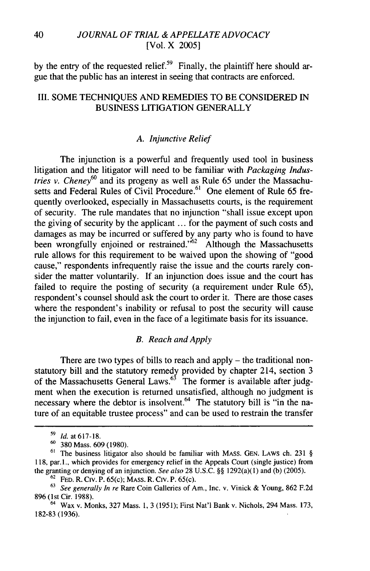by the entry of the requested relief. $59$  Finally, the plaintiff here should argue that the public has an interest in seeing that contracts are enforced.

# III. SOME TECHNIQUES AND REMEDIES TO BE CONSIDERED IN BUSINESS LITIGATION GENERALLY

## *A. Injunctive Relief*

The injunction is a powerful and frequently used tool in business litigation and the litigator will need to be familiar with *Packaging Industries v. Cheney6°* and its progeny as well as Rule 65 under the Massachusetts and Federal Rules of Civil Procedure.<sup>61</sup> One element of Rule 65 frequently overlooked, especially in Massachusetts courts, is the requirement of security. The rule mandates that no injunction "shall issue except upon the giving of security by the applicant ... for the payment of such costs and damages as may be incurred or suffered by any party who is found to have been wrongfully enjoined or restrained.<sup> $62$ </sup> Although the Massachusetts rule allows for this requirement to be waived upon the showing of "good cause," respondents infrequently raise the issue and the courts rarely consider the matter voluntarily. If an injunction does issue and the court has failed to require the posting of security (a requirement under Rule 65), respondent's counsel should ask the court to order it. There are those cases where the respondent's inability or refusal to post the security will cause the injunction to fail, even in the face of a legitimate basis for its issuance.

#### *B. Reach and Apply*

There are two types of bills to reach and apply – the traditional nonstatutory bill and the statutory remedy provided by chapter 214, section 3 of the Massachusetts General Laws.  $63$  The former is available after judgment when the execution is returned unsatisfied, although no judgment is necessary where the debtor is insolvent.<sup>64</sup> The statutory bill is "in the nature of an equitable trustee process" and can be used to restrain the transfer

**<sup>&#</sup>x27;9** *Id.* at 617-18.

**<sup>60</sup>**380 Mass. 609 (1980).

 $61$  The business litigator also should be familiar with MASS. GEN. LAWS ch. 231 § 118, par. 1., which provides for emergency relief in the Appeals Court (single justice) from the granting or denying of an injunction. *See also* 28 U.S.C. §§ 1292(a)(1) and (b) (2005).

<sup>62</sup>FED. R. Civ. P. 65(c); **MASS.** R. Civ. P. 65(c).

<sup>63</sup>*See generally In re* Rare Coin Galleries of Am., Inc. v. Vinick & Young, 862 F.2d 896 (1st Cir. 1988).

<sup>64</sup> Wax v. Monks, 327 Mass. **1,** 3 (1951); First Nat'l Bank v. Nichols, 294 Mass. 173, 182-83 (1936).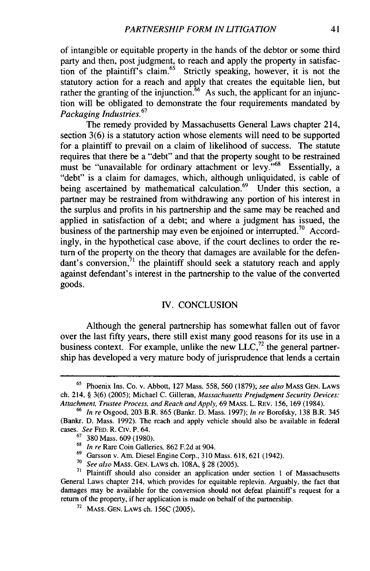of intangible or equitable property in the hands of the debtor or some third party and then, post judgment, to reach and apply the property in satisfaction of the plaintiff's claim.<sup>65</sup> Strictly speaking, however, it is not the statutory action for a reach and apply that creates the equitable lien, but rather the granting of the injunction.<sup>66</sup> As such, the applicant for an injunction will be obligated to demonstrate the four requirements mandated by *Packaging Industries.<sup>67</sup>*

The remedy provided by Massachusetts General Laws chapter 214, section 3(6) is a statutory action whose elements will need to be supported for a plaintiff to prevail on a claim of likelihood of success. The statute requires that there be a "debt" and that the property sought to be restrained must be "unavailable for ordinary attachment or levy."<sup>68</sup> Essentially, a "debt" is a claim for damages, which, although unliquidated, is cable of being ascertained by mathematical calculation.<sup>69</sup> Under this section, a partner may be restrained from withdrawing any portion of his interest in the surplus and profits in his partnership and the same may be reached and applied in satisfaction of a debt; and where a judgment has issued, the business of the partnership may even be enjoined or interrupted.<sup>70</sup> Accordingly, in the hypothetical case above, if the court declines to order the return of the property on the theory that damages are available for the defendant's conversion, $71$  the plaintiff should seek a statutory reach and apply against defendant's interest in the partnership to the value of the converted goods.

#### IV. CONCLUSION

Although the general partnership has somewhat fallen out of favor over the last fifty years, there still exist many good reasons for its use in a business context. For example, unlike the new  $LLC$ <sup>72</sup>, the general partnership has developed a very mature body of jurisprudence that lends a certain

<sup>65</sup> Phoenix Ins. Co. v. Abbott, 127 Mass. 558, 560 (1879); *see also* MASS GEN. LAWS ch. 214, § 3(6) (2005); Michael C. Gilleran, *Massachusetts Prejudgment Security Devices: Attachment, Trustee Process, and Reach and Apply,* 69 MASS. L. REV. 156, 169 (1984).

**<sup>66</sup>** *In re* Osgood, 203 B.R. 865 (Bankr. D. Mass. 1997); *In re* Borofsky, 138 B.R. 345 (Bankr. D. Mass. 1992). The reach and apply vehicle should also be available in federal cases. *See* **FED.** R. Civ. P. 64.

 $^{67}$  380 Mass. 609 (1080).

<sup>68</sup> *In re* Rare Coin Galleries, 862 F.2d at 904.

<sup>69</sup>Garsson v. Am. Diesel Engine Corp., 310 Mass. 618, 621 (1942).

<sup>70</sup>*See also* **MASS. GEN.** LAWS ch. 108A, § 28 (2005).

**<sup>71</sup>**Plaintiff should also consider an application under section 1 of Massachusetts General Laws chapter 214, which provides for equitable replevin. Arguably, the fact that damages may be available for the conversion should not defeat plaintiffs request for a return of the property, if her application is made on behalf of the partnership.

<sup>72</sup> **MASS. GEN.** LAWS ch. 156C (2005).